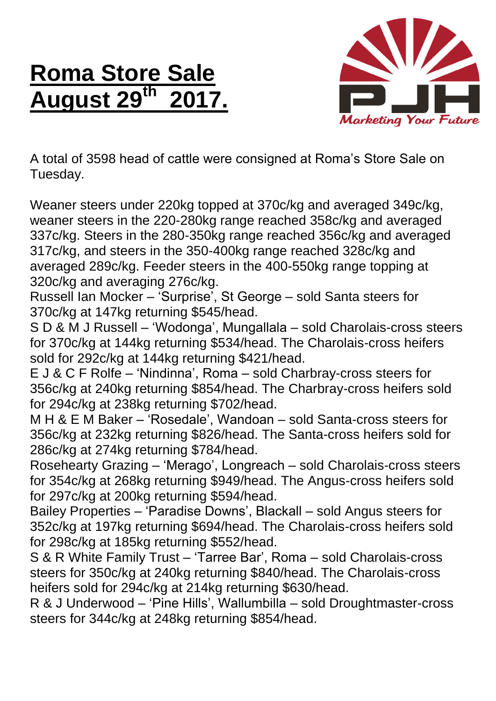## **Roma Store Sale August 29 th 2017.**



A total of 3598 head of cattle were consigned at Roma's Store Sale on Tuesday.

Weaner steers under 220kg topped at 370c/kg and averaged 349c/kg, weaner steers in the 220-280kg range reached 358c/kg and averaged 337c/kg. Steers in the 280-350kg range reached 356c/kg and averaged 317c/kg, and steers in the 350-400kg range reached 328c/kg and averaged 289c/kg. Feeder steers in the 400-550kg range topping at 320c/kg and averaging 276c/kg.

Russell Ian Mocker – 'Surprise', St George – sold Santa steers for 370c/kg at 147kg returning \$545/head.

S D & M J Russell – 'Wodonga', Mungallala – sold Charolais-cross steers for 370c/kg at 144kg returning \$534/head. The Charolais-cross heifers sold for 292c/kg at 144kg returning \$421/head.

E J & C F Rolfe – 'Nindinna', Roma – sold Charbray-cross steers for 356c/kg at 240kg returning \$854/head. The Charbray-cross heifers sold for 294c/kg at 238kg returning \$702/head.

M H & E M Baker – 'Rosedale', Wandoan – sold Santa-cross steers for 356c/kg at 232kg returning \$826/head. The Santa-cross heifers sold for 286c/kg at 274kg returning \$784/head.

Rosehearty Grazing – 'Merago', Longreach – sold Charolais-cross steers for 354c/kg at 268kg returning \$949/head. The Angus-cross heifers sold for 297c/kg at 200kg returning \$594/head.

Bailey Properties – 'Paradise Downs', Blackall – sold Angus steers for 352c/kg at 197kg returning \$694/head. The Charolais-cross heifers sold for 298c/kg at 185kg returning \$552/head.

S & R White Family Trust – 'Tarree Bar', Roma – sold Charolais-cross steers for 350c/kg at 240kg returning \$840/head. The Charolais-cross heifers sold for 294c/kg at 214kg returning \$630/head.

R & J Underwood – 'Pine Hills', Wallumbilla – sold Droughtmaster-cross steers for 344c/kg at 248kg returning \$854/head.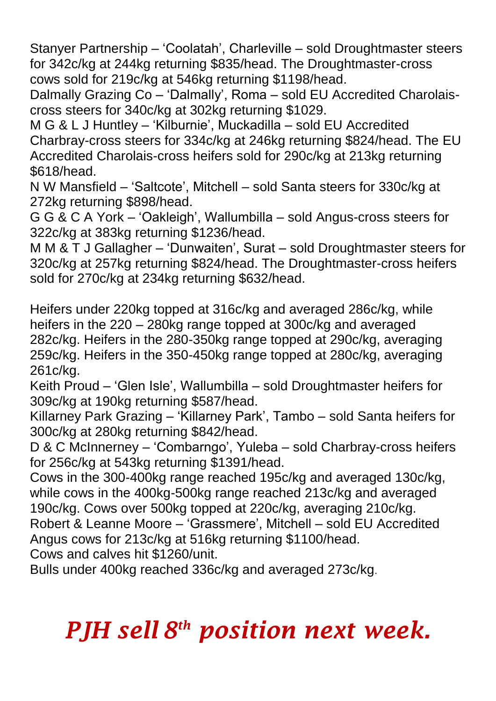Stanyer Partnership – 'Coolatah', Charleville – sold Droughtmaster steers for 342c/kg at 244kg returning \$835/head. The Droughtmaster-cross cows sold for 219c/kg at 546kg returning \$1198/head.

Dalmally Grazing Co – 'Dalmally', Roma – sold EU Accredited Charolaiscross steers for 340c/kg at 302kg returning \$1029.

M G & L J Huntley – 'Kilburnie', Muckadilla – sold EU Accredited Charbray-cross steers for 334c/kg at 246kg returning \$824/head. The EU Accredited Charolais-cross heifers sold for 290c/kg at 213kg returning \$618/head.

N W Mansfield – 'Saltcote', Mitchell – sold Santa steers for 330c/kg at 272kg returning \$898/head.

G G & C A York – 'Oakleigh', Wallumbilla – sold Angus-cross steers for 322c/kg at 383kg returning \$1236/head.

M M & T J Gallagher – 'Dunwaiten', Surat – sold Droughtmaster steers for 320c/kg at 257kg returning \$824/head. The Droughtmaster-cross heifers sold for 270c/kg at 234kg returning \$632/head.

Heifers under 220kg topped at 316c/kg and averaged 286c/kg, while heifers in the 220 – 280kg range topped at 300c/kg and averaged 282c/kg. Heifers in the 280-350kg range topped at 290c/kg, averaging 259c/kg. Heifers in the 350-450kg range topped at 280c/kg, averaging 261c/kg.

Keith Proud – 'Glen Isle', Wallumbilla – sold Droughtmaster heifers for 309c/kg at 190kg returning \$587/head.

Killarney Park Grazing – 'Killarney Park', Tambo – sold Santa heifers for 300c/kg at 280kg returning \$842/head.

D & C McInnerney – 'Combarngo', Yuleba – sold Charbray-cross heifers for 256c/kg at 543kg returning \$1391/head.

Cows in the 300-400kg range reached 195c/kg and averaged 130c/kg, while cows in the 400kg-500kg range reached 213c/kg and averaged 190c/kg. Cows over 500kg topped at 220c/kg, averaging 210c/kg. Robert & Leanne Moore – 'Grassmere', Mitchell – sold EU Accredited Angus cows for 213c/kg at 516kg returning \$1100/head. Cows and calves hit \$1260/unit.

Bulls under 400kg reached 336c/kg and averaged 273c/kg.

## *PJH sell 8 th position next week.*